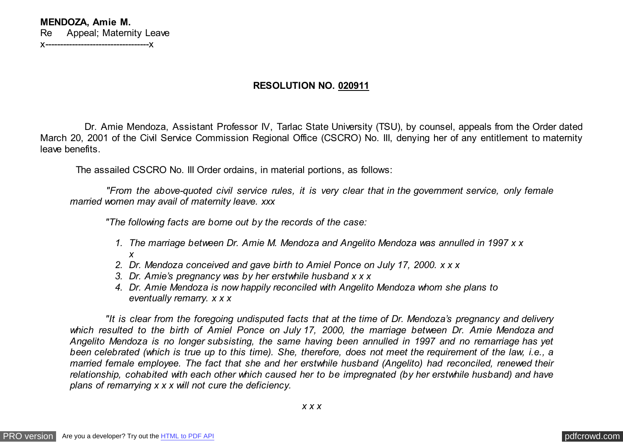**MENDOZA, Amie M.** Re Appeal; Maternity Leave x-----------------------------------x

## **RESOLUTION NO. 020911**

 Dr. Amie Mendoza, Assistant Professor IV, Tarlac State University (TSU), by counsel, appeals from the Order dated March 20, 2001 of the Civil Service Commission Regional Office (CSCRO) No. III, denying her of any entitlement to maternity leave benefits.

The assailed CSCRO No. III Order ordains, in material portions, as follows:

 *"From the above-quoted civil service rules, it is very clear that in the government service, only female married women may avail of maternity leave. xxx*

 *"The following facts are borne out by the records of the case:*

- *1. The marriage between Dr. Amie M. Mendoza and Angelito Mendoza was annulled in 1997 x x x*
- *2. Dr. Mendoza conceived and gave birth to Amiel Ponce on July 17, 2000. x x x*
- *3. Dr. Amie's pregnancy was by her erstwhile husband x x x*
- *4. Dr. Amie Mendoza is now happily reconciled with Angelito Mendoza whom she plans to eventually remarry. x x x*

 *"It is clear from the foregoing undisputed facts that at the time of Dr. Mendoza's pregnancy and delivery which resulted to the birth of Amiel Ponce on July 17, 2000, the marriage between Dr. Amie Mendoza and Angelito Mendoza is no longer subsisting, the same having been annulled in 1997 and no remarriage has yet been celebrated (which is true up to this time). She, therefore, does not meet the requirement of the law, i.e., a married female employee. The fact that she and her erstwhile husband (Angelito) had reconciled, renewed their relationship, cohabited with each other which caused her to be impregnated (by her erstwhile husband) and have plans of remarrying x x x will not cure the deficiency.*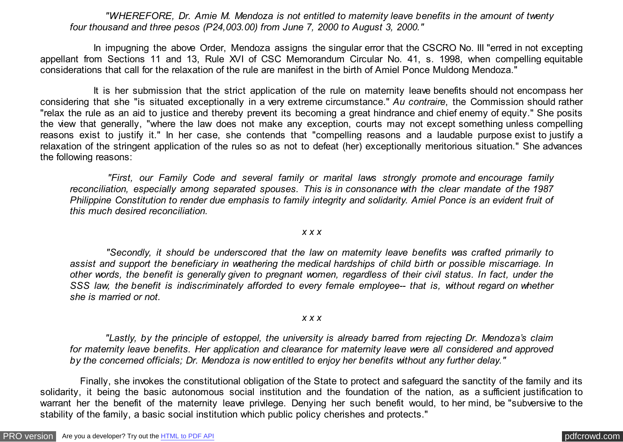*"WHEREFORE, Dr. Amie M. Mendoza is not entitled to maternity leave benefits in the amount of twenty four thousand and three pesos (P24,003.00) from June 7, 2000 to August 3, 2000."*

 In impugning the above Order, Mendoza assigns the singular error that the CSCRO No. III "erred in not excepting appellant from Sections 11 and 13, Rule XVI of CSC Memorandum Circular No. 41, s. 1998, when compelling equitable considerations that call for the relaxation of the rule are manifest in the birth of Amiel Ponce Muldong Mendoza."

 It is her submission that the strict application of the rule on maternity leave benefits should not encompass her considering that she "is situated exceptionally in a very extreme circumstance." *Au contraire*, the Commission should rather "relax the rule as an aid to justice and thereby prevent its becoming a great hindrance and chief enemy of equity." She posits the view that generally, "where the law does not make any exception, courts may not except something unless compelling reasons exist to justify it." In her case, she contends that "compelling reasons and a laudable purpose exist to justify a relaxation of the stringent application of the rules so as not to defeat (her) exceptionally meritorious situation." She advances the following reasons:

 *"First, our Family Code and several family or marital laws strongly promote and encourage family reconciliation, especially among separated spouses. This is in consonance with the clear mandate of the 1987 Philippine Constitution to render due emphasis to family integrity and solidarity. Amiel Ponce is an evident fruit of this much desired reconciliation.*

## *x x x*

 *"Secondly, it should be underscored that the law on maternity leave benefits was crafted primarily to assist and support the beneficiary in weathering the medical hardships of child birth or possible miscarriage. In other words, the benefit is generally given to pregnant women, regardless of their civil status. In fact, under the SSS law, the benefit is indiscriminately afforded to every female employee-- that is, without regard on whether she is married or not.*

## *x x x*

 *"Lastly, by the principle of estoppel, the university is already barred from rejecting Dr. Mendoza's claim for maternity leave benefits. Her application and clearance for maternity leave were all considered and approved by the concerned officials; Dr. Mendoza is now entitled to enjoy her benefits without any further delay."*

 Finally, she invokes the constitutional obligation of the State to protect and safeguard the sanctity of the family and its solidarity, it being the basic autonomous social institution and the foundation of the nation, as a sufficient justification to warrant her the benefit of the maternity leave privilege. Denying her such benefit would, to her mind, be "subversive to the stability of the family, a basic social institution which public policy cherishes and protects."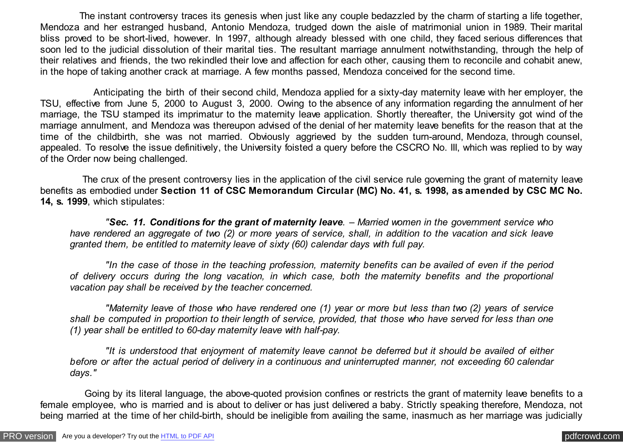The instant controversy traces its genesis when just like any couple bedazzled by the charm of starting a life together, Mendoza and her estranged husband, Antonio Mendoza, trudged down the aisle of matrimonial union in 1989. Their marital bliss proved to be short-lived, however. In 1997, although already blessed with one child, they faced serious differences that soon led to the judicial dissolution of their marital ties. The resultant marriage annulment notwithstanding, through the help of their relatives and friends, the two rekindled their love and affection for each other, causing them to reconcile and cohabit anew, in the hope of taking another crack at marriage. A few months passed, Mendoza conceived for the second time.

 Anticipating the birth of their second child, Mendoza applied for a sixty-day maternity leave with her employer, the TSU, effective from June 5, 2000 to August 3, 2000. Owing to the absence of any information regarding the annulment of her marriage, the TSU stamped its imprimatur to the maternity leave application. Shortly thereafter, the University got wind of the marriage annulment, and Mendoza was thereupon advised of the denial of her maternity leave benefits for the reason that at the time of the childbirth, she was not married. Obviously aggrieved by the sudden turn-around, Mendoza, through counsel, appealed. To resolve the issue definitively, the University foisted a query before the CSCRO No. III, which was replied to by way of the Order now being challenged.

 The crux of the present controversy lies in the application of the civil service rule governing the grant of maternity leave benefits as embodied under **Section 11 of CSC Memorandum Circular (MC) No. 41, s. 1998, as amended by CSC MC No. 14, s. 1999**, which stipulates:

 *"Sec. 11. Conditions for the grant of maternity leave. – Married women in the government service who have rendered an aggregate of two (2) or more years of service, shall, in addition to the vacation and sick leave granted them, be entitled to maternity leave of sixty (60) calendar days with full pay.*

 *"In the case of those in the teaching profession, maternity benefits can be availed of even if the period of delivery occurs during the long vacation, in which case, both the maternity benefits and the proportional vacation pay shall be received by the teacher concerned.*

 *"Maternity leave of those who have rendered one (1) year or more but less than two (2) years of service shall be computed in proportion to their length of service, provided, that those who have served for less than one (1) year shall be entitled to 60-day maternity leave with half-pay.*

 *"It is understood that enjoyment of maternity leave cannot be deferred but it should be availed of either before or after the actual period of delivery in a continuous and uninterrupted manner, not exceeding 60 calendar days."*

 Going by its literal language, the above-quoted provision confines or restricts the grant of maternity leave benefits to a female employee, who is married and is about to deliver or has just delivered a baby. Strictly speaking therefore, Mendoza, not being married at the time of her child-birth, should be ineligible from availing the same, inasmuch as her marriage was judicially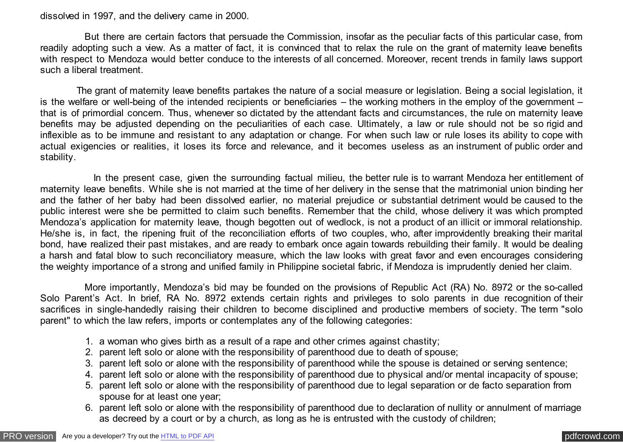dissolved in 1997, and the delivery came in 2000.

 But there are certain factors that persuade the Commission, insofar as the peculiar facts of this particular case, from readily adopting such a view. As a matter of fact, it is convinced that to relax the rule on the grant of maternity leave benefits with respect to Mendoza would better conduce to the interests of all concerned. Moreover, recent trends in family laws support such a liberal treatment.

 The grant of maternity leave benefits partakes the nature of a social measure or legislation. Being a social legislation, it is the welfare or well-being of the intended recipients or beneficiaries – the working mothers in the employ of the government – that is of primordial concern. Thus, whenever so dictated by the attendant facts and circumstances, the rule on maternity leave benefits may be adjusted depending on the peculiarities of each case. Ultimately, a law or rule should not be so rigid and inflexible as to be immune and resistant to any adaptation or change. For when such law or rule loses its ability to cope with actual exigencies or realities, it loses its force and relevance, and it becomes useless as an instrument of public order and stability.

 In the present case, given the surrounding factual milieu, the better rule is to warrant Mendoza her entitlement of maternity leave benefits. While she is not married at the time of her delivery in the sense that the matrimonial union binding her and the father of her baby had been dissolved earlier, no material prejudice or substantial detriment would be caused to the public interest were she be permitted to claim such benefits. Remember that the child, whose delivery it was which prompted Mendoza's application for maternity leave, though begotten out of wedlock, is not a product of an illicit or immoral relationship. He/she is, in fact, the ripening fruit of the reconciliation efforts of two couples, who, after improvidently breaking their marital bond, have realized their past mistakes, and are ready to embark once again towards rebuilding their family. It would be dealing a harsh and fatal blow to such reconciliatory measure, which the law looks with great favor and even encourages considering the weighty importance of a strong and unified family in Philippine societal fabric, if Mendoza is imprudently denied her claim.

 More importantly, Mendoza's bid may be founded on the provisions of Republic Act (RA) No. 8972 or the so-called Solo Parent's Act. In brief, RA No. 8972 extends certain rights and privileges to solo parents in due recognition of their sacrifices in single-handedly raising their children to become disciplined and productive members of society. The term "solo parent" to which the law refers, imports or contemplates any of the following categories:

- 1. a woman who gives birth as a result of a rape and other crimes against chastity;
- 2. parent left solo or alone with the responsibility of parenthood due to death of spouse;
- 3. parent left solo or alone with the responsibility of parenthood while the spouse is detained or serving sentence;
- 4. parent left solo or alone with the responsibility of parenthood due to physical and/or mental incapacity of spouse;
- 5. parent left solo or alone with the responsibility of parenthood due to legal separation or de facto separation from spouse for at least one year;
- 6. parent left solo or alone with the responsibility of parenthood due to declaration of nullity or annulment of marriage as decreed by a court or by a church, as long as he is entrusted with the custody of children;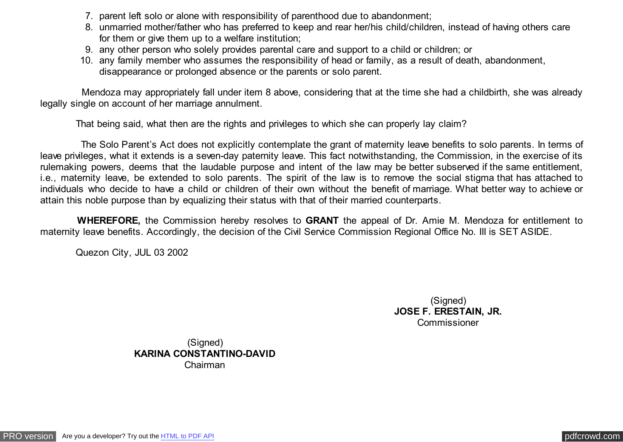- 7. parent left solo or alone with responsibility of parenthood due to abandonment;
- 8. unmarried mother/father who has preferred to keep and rear her/his child/children, instead of having others care for them or give them up to a welfare institution;
- 9. any other person who solely provides parental care and support to a child or children; or
- 10. any family member who assumes the responsibility of head or family, as a result of death, abandonment, disappearance or prolonged absence or the parents or solo parent.

 Mendoza may appropriately fall under item 8 above, considering that at the time she had a childbirth, she was already legally single on account of her marriage annulment.

That being said, what then are the rights and privileges to which she can properly lay claim?

 The Solo Parent's Act does not explicitly contemplate the grant of maternity leave benefits to solo parents. In terms of leave privileges, what it extends is a seven-day paternity leave. This fact notwithstanding, the Commission, in the exercise of its rulemaking powers, deems that the laudable purpose and intent of the law may be better subserved if the same entitlement, i.e., maternity leave, be extended to solo parents. The spirit of the law is to remove the social stigma that has attached to individuals who decide to have a child or children of their own without the benefit of marriage. What better way to achieve or attain this noble purpose than by equalizing their status with that of their married counterparts.

 **WHEREFORE,** the Commission hereby resolves to **GRANT** the appeal of Dr. Amie M. Mendoza for entitlement to maternity leave benefits. Accordingly, the decision of the Civil Service Commission Regional Office No. III is SET ASIDE.

Quezon City, JUL 03 2002

(Signed) **JOSE F. ERESTAIN, JR.** Commissioner

(Signed) **KARINA CONSTANTINO-DAVID** Chairman